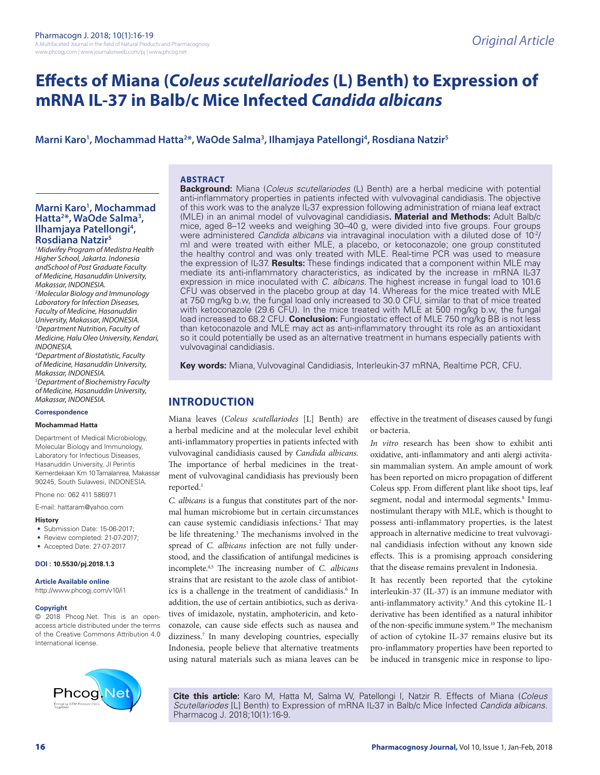# **Effects of Miana (***Coleus scutellariodes* **(L) Benth) to Expression of mRNA IL-37 in Balb/c Mice Infected** *Candida albicans*

# **Marni Karo1 , Mochammad Hatta2 \*, WaOde Salma3 , Ilhamjaya Patellongi4 , Rosdiana Natzir5**

#### **ABSTRACT**

# **Marni Karo1 , Mochammad**  Hatta<sup>2\*</sup>, WaOde Salma<sup>3</sup>,<br>Ilhamjaya Patellongi<sup>4</sup>, Ilhamjaya Patellongi<sup>4</sup>,<br>Rosdiana Natzir<sup>5</sup>

*1 Midwifey Program of Medistra Health Higher School, Jakarta. Indonesia andSchool of Post Graduate Faculty of Medicine, Hasanuddin University, Makassar, INDONESIA.*

*2 Molecular Biology and Immunology Laboratory for Infection Diseases, Faculty of Medicine, Hasanuddin University, Makassar, INDONESIA. 3 Department Nutrition, Faculty of Medicine, Halu Oleo University, Kendari, INDONESIA.*

*4 Department of Biostatistic, Faculty of Medicine, Hasanuddin University, Makassar, INDONESIA. 5 Department of Biochemistry Faculty of Medicine, Hasanuddin University, Makassar, INDONESIA.*

#### **Correspondence**

#### **Mochammad Hatta**

Department of Medical Microbiology, Molecular Biology and Immunology, Laboratory for Infectious Diseases, Hasanuddin University, Jl Perintis Kemerdekaan Km 10 Tamalanrea, Makassar 90245, South Sulawesi, INDONESIA.

Phone no: 062 411 586971

E-mail: hattaram@yahoo.com

#### **History**

- Submission Date: 15-06-2017;
- Review completed: 21-07-2017;
- Accepted Date: 27-07-2017

#### **DOI : 10.5530/pj.2018.1.3**

**Article Available online** 

http://www.phcogj.com/v10/i1

#### **Copyright**

© 2018 Phcog.Net. This is an openaccess article distributed under the terms of the Creative Commons Attribution 4.0 International license.



**Background:** Miana (*Coleus scutellariodes* (L) Benth) are a herbal medicine with potential anti-inflammatory properties in patients infected with vulvovaginal candidiasis. The objective of this work was to the analyze IL-37 expression following administration of miana leaf extract (MLE) in an animal model of vulvovaginal candidiasis**. Material and Methods:** Adult Balb/c mice, aged 8–12 weeks and weighing 30–40 g, were divided into five groups. Four groups were administered *Candida albicans* via intravaginal inoculation with a diluted dose of 10-2/ ml and were treated with either MLE, a placebo, or ketoconazole; one group constituted the healthy control and was only treated with MLE. Real-time PCR was used to measure the expression of IL-37. **Results:** These findings indicated that a component within MLE may mediate its anti-inflammatory characteristics, as indicated by the increase in mRNA IL-37 expression in mice inoculated with *C. albicans*. The highest increase in fungal load to 101.6 CFU was observed in the placebo group at day 14. Whereas for the mice treated with MLE at 750 mg/kg b.w, the fungal load only increased to 30.0 CFU, similar to that of mice treated with ketoconazole (29.6 CFU). In the mice treated with MLE at 500 mg/kg b.w, the fungal load increased to 68.2 CFU. **Conclusion:** Fungiostatic effect of MLE 750 mg/kg BB is not less than ketoconazole and MLE may act as anti-inflammatory throught its role as an antioxidant so it could potentially be used as an alternative treatment in humans especially patients with vulvovaginal candidiasis.

**Key words:** Miana, Vulvovaginal Candidiasis, Interleukin-37 mRNA, Realtime PCR, CFU.

# **INTRODUCTION**

Miana leaves (*Coleus scutellariodes* [L] Benth) are a herbal medicine and at the molecular level exhibit anti-inflammatory properties in patients infected with vulvovaginal candidiasis caused by *Candida albicans.*  The importance of herbal medicines in the treatment of vulvovaginal candidiasis has previously been reported.<sup>1</sup>

*C. albicans* is a fungus that constitutes part of the normal human microbiome but in certain circumstances can cause systemic candidiasis infections.<sup>2</sup> That may be life threatening.<sup>3</sup> The mechanisms involved in the spread of *C. albicans* infection are not fully understood, and the classification of antifungal medicines is incomplete.4,5 The increasing number of *C. albicans* strains that are resistant to the azole class of antibiotics is a challenge in the treatment of candidiasis.<sup>6</sup> In addition, the use of certain antibiotics, such as derivatives of imidazole, nystatin, amphotericin, and ketoconazole, can cause side effects such as nausea and dizziness.<sup>7</sup> In many developing countries, especially Indonesia, people believe that alternative treatments using natural materials such as miana leaves can be

effective in the treatment of diseases caused by fungi or bacteria.

*In vitro* research has been show to exhibit anti oxidative, anti-inflammatory and anti alergi activitasin mammalian system. An ample amount of work has been reported on micro propagation of different Coleus spp. From different plant like shoot tips, leaf segment, nodal and intermodal segments.<sup>8</sup> Immunostimulant therapy with MLE, which is thought to possess anti-inflammatory properties, is the latest approach in alternative medicine to treat vulvovaginal candidiasis infection without any known side effects. This is a promising approach considering that the disease remains prevalent in Indonesia.

It has recently been reported that the cytokine interleukin-37 (IL-37) is an immune mediator with anti-inflammatory activity.9 And this cytokine IL-1 derivative has been identified as a natural inhibitor of the non-specific immune system.<sup>10</sup> The mechanism of action of cytokine IL-37 remains elusive but its pro-inflammatory properties have been reported to be induced in transgenic mice in response to lipo-

**Cite this article:** Karo M, Hatta M, Salma W, Patellongi I, Natzir R. Effects of Miana (*Coleus Scutellariodes* [L] Benth) to Expression of mRNA IL-37 in Balb/c Mice Infected *Candida albicans*. Pharmacog J. 2018;10(1):16-9.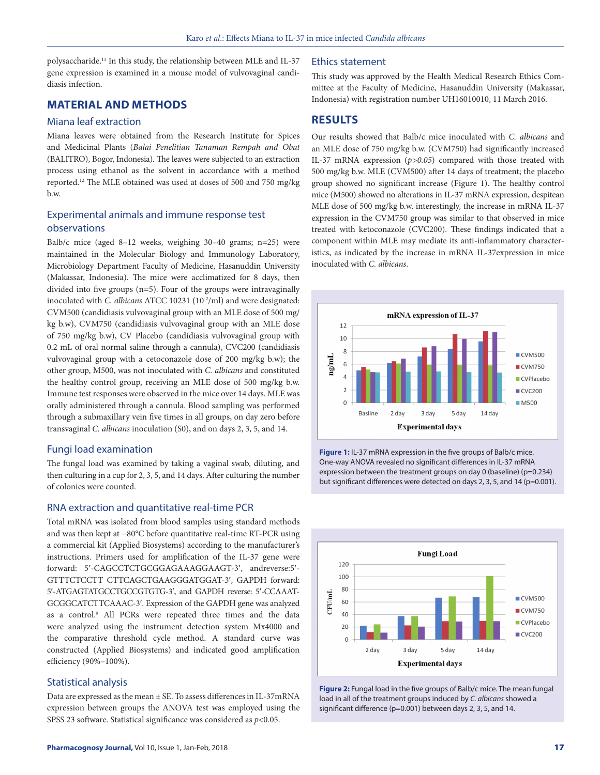polysaccharide.11 In this study, the relationship between MLE and IL-37 gene expression is examined in a mouse model of vulvovaginal candidiasis infection.

# **MATERIAL AND METHODS**

#### Miana leaf extraction

Miana leaves were obtained from the Research Institute for Spices and Medicinal Plants (*Balai Penelitian Tanaman Rempah and Obat* (BALITRO), Bogor, Indonesia). The leaves were subjected to an extraction process using ethanol as the solvent in accordance with a method reported.12 The MLE obtained was used at doses of 500 and 750 mg/kg b.w.

# Experimental animals and immune response test observations

Balb/c mice (aged 8–12 weeks, weighing 30–40 grams; n=25) were maintained in the Molecular Biology and Immunology Laboratory, Microbiology Department Faculty of Medicine, Hasanuddin University (Makassar, Indonesia). The mice were acclimatized for 8 days, then divided into five groups (n=5). Four of the groups were intravaginally inoculated with *C. albicans* ATCC 10231 (10<sup>-2</sup>/ml) and were designated: CVM500 (candidiasis vulvovaginal group with an MLE dose of 500 mg/ kg b.w), CVM750 (candidiasis vulvovaginal group with an MLE dose of 750 mg/kg b.w), CV Placebo (candidiasis vulvovaginal group with 0.2 mL of oral normal saline through a cannula), CVC200 (candidiasis vulvovaginal group with a cetoconazole dose of 200 mg/kg b.w); the other group, M500, was not inoculated with *C. albicans* and constituted the healthy control group, receiving an MLE dose of 500 mg/kg b.w. Immune test responses were observed in the mice over 14 days. MLE was orally administered through a cannula. Blood sampling was performed through a submaxillary vein five times in all groups, on day zero before transvaginal *C. albicans* inoculation (S0), and on days 2, 3, 5, and 14.

#### Fungi load examination

The fungal load was examined by taking a vaginal swab, diluting, and then culturing in a cup for 2, 3, 5, and 14 days. After culturing the number of colonies were counted.

#### RNA extraction and quantitative real-time PCR

Total mRNA was isolated from blood samples using standard methods and was then kept at −80°C before quantitative real-time RT-PCR using a commercial kit (Applied Biosystems) according to the manufacturer's instructions. Primers used for amplification of the IL-37 gene were forward: 5′-CAGCCTCTGCGGAGAAAGGAAGT-3′, andreverse:5′- GTTTCTCCTT CTTCAGCTGAAGGGATGGAT-3′, GAPDH forward: 5′-ATGAGTATGCCTGCCGTGTG-3′, and GAPDH reverse: 5′-CCAAAT-GCGGCATCTTCAAAC-3′. Expression of the GAPDH gene was analyzed as a control.<sup>9</sup> All PCRs were repeated three times and the data were analyzed using the instrument detection system Mx4000 and the comparative threshold cycle method. A standard curve was constructed (Applied Biosystems) and indicated good amplification efficiency (90%–100%).

## Statistical analysis

Data are expressed as the mean ± SE. To assess differences in IL-37mRNA expression between groups the ANOVA test was employed using the SPSS 23 software. Statistical significance was considered as *p*<0.05.

#### Ethics statement

This study was approved by the Health Medical Research Ethics Committee at the Faculty of Medicine, Hasanuddin University (Makassar, Indonesia) with registration number UH16010010, 11 March 2016.

## **RESULTS**

Our results showed that Balb/c mice inoculated with *C. albicans* and an MLE dose of 750 mg/kg b.w. (CVM750) had significantly increased IL-37 mRNA expression (*p>0.05*) compared with those treated with 500 mg/kg b.w. MLE (CVM500) after 14 days of treatment; the placebo group showed no significant increase (Figure 1). The healthy control mice (M500) showed no alterations in IL-37 mRNA expression, despitean MLE dose of 500 mg/kg b.w. interestingly, the increase in mRNA IL-37 expression in the CVM750 group was similar to that observed in mice treated with ketoconazole (CVC200). These findings indicated that a component within MLE may mediate its anti-inflammatory characteristics, as indicated by the increase in mRNA IL-37expression in mice inoculated with *C. albicans*.



**Figure 1:** IL-37 mRNA expression in the five groups of Balb/c mice. One-way ANOVA revealed no significant differences in IL-37 mRNA expression between the treatment groups on day 0 (baseline) (p=0.234) but significant differences were detected on days 2, 3, 5, and 14 (p=0.001).



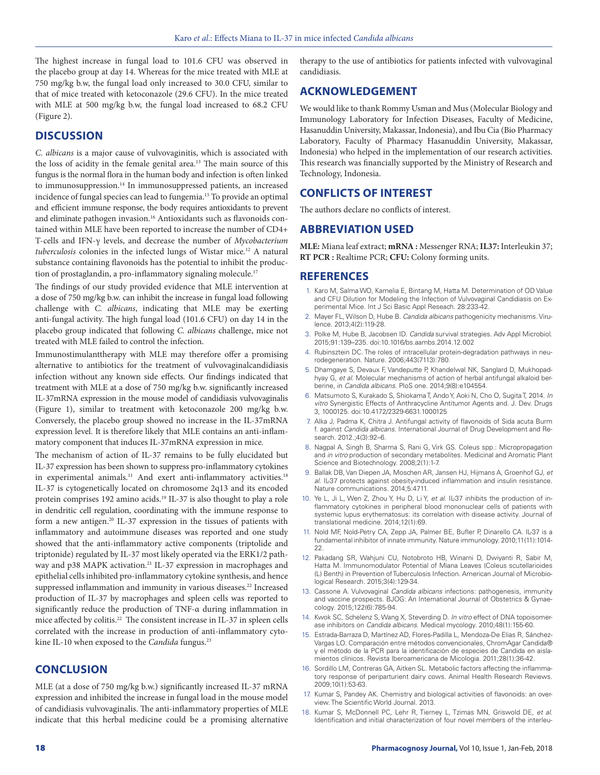The highest increase in fungal load to 101.6 CFU was observed in the placebo group at day 14. Whereas for the mice treated with MLE at 750 mg/kg b.w, the fungal load only increased to 30.0 CFU, similar to that of mice treated with ketoconazole (29.6 CFU). In the mice treated with MLE at 500 mg/kg b.w, the fungal load increased to 68.2 CFU (Figure 2).

## **DISCUSSION**

*C. albicans* is a major cause of vulvovaginitis, which is associated with the loss of acidity in the female genital area.<sup>13</sup> The main source of this fungus is the normal flora in the human body and infection is often linked to immunosuppression.<sup>14</sup> In immunosuppressed patients, an increased incidence of fungal species can lead to fungemia.15 To provide an optimal and efficient immune response, the body requires antioxidants to prevent and eliminate pathogen invasion.<sup>16</sup> Antioxidants such as flavonoids contained within MLE have been reported to increase the number of CD4+ T-cells and IFN-γ levels, and decrease the number of *Mycobacterium*  tuberculosis colonies in the infected lungs of Wistar mice.<sup>12</sup> A natural substance containing flavonoids has the potential to inhibit the production of prostaglandin, a pro-inflammatory signaling molecule.<sup>17</sup>

The findings of our study provided evidence that MLE intervention at a dose of 750 mg/kg b.w. can inhibit the increase in fungal load following challenge with *C. albicans*, indicating that MLE may be exerting anti-fungal activity. The high fungal load (101.6 CFU) on day 14 in the placebo group indicated that following *C. albicans* challenge, mice not treated with MLE failed to control the infection.

Immunostimulanttherapy with MLE may therefore offer a promising alternative to antibiotics for the treatment of vulvovaginalcandidiasis infection without any known side effects*.* Our findings indicated that treatment with MLE at a dose of 750 mg/kg b.w. significantly increased IL-37mRNA expression in the mouse model of candidiasis vulvovaginalis (Figure 1), similar to treatment with ketoconazole 200 mg/kg b.w. Conversely, the placebo group showed no increase in the IL-37mRNA expression level*.* It is therefore likely that MLE contains an anti-inflammatory component that induces IL-37mRNA expression in mice*.*

The mechanism of action of IL-37 remains to be fully elucidated but IL-37 expression has been shown to suppress pro-inflammatory cytokines in experimental animals.<sup>11</sup> And exert anti-inflammatory activities.<sup>18</sup> IL-37 is cytogenetically located on chromosome 2q13 and its encoded protein comprises 192 amino acids.<sup>19</sup> IL-37 is also thought to play a role in dendritic cell regulation, coordinating with the immune response to form a new antigen.<sup>20</sup> IL-37 expression in the tissues of patients with inflammatory and autoimmune diseases was reported and one study showed that the anti-inflammatory active components (triptolide and triptonide) regulated by IL-37 most likely operated via the ERK1/2 pathway and p38 MAPK activation.<sup>21</sup> IL-37 expression in macrophages and epithelial cells inhibited pro-inflammatory cytokine synthesis, and hence suppressed inflammation and immunity in various diseases.<sup>22</sup> Increased production of IL-37 by macrophages and spleen cells was reported to significantly reduce the production of TNF-α during inflammation in mice affected by colitis.<sup>22</sup> The consistent increase in IL-37 in spleen cells correlated with the increase in production of anti-inflammatory cytokine IL-10 when exposed to the *Candida* fungus.<sup>23</sup>

#### **CONCLUSION**

MLE (at a dose of 750 mg/kg b.w.) significantly increased IL-37 mRNA expression and inhibited the increase in fungal load in the mouse model of candidiasis vulvovaginalis. The anti-inflammatory properties of MLE indicate that this herbal medicine could be a promising alternative

therapy to the use of antibiotics for patients infected with vulvovaginal candidiasis.

# **ACKNOWLEDGEMENT**

We would like to thank Rommy Usman and Mus (Molecular Biology and Immunology Laboratory for Infection Diseases, Faculty of Medicine, Hasanuddin University, Makassar, Indonesia), and Ibu Cia (Bio Pharmacy Laboratory, Faculty of Pharmacy Hasanuddin University, Makassar, Indonesia) who helped in the implementation of our research activities. This research was financially supported by the Ministry of Research and Technology, Indonesia.

# **CONFLICTS OF INTEREST**

The authors declare no conflicts of interest.

#### **ABBREVIATION USED**

**MLE:** Miana leaf extract; **mRNA :** Messenger RNA; **IL37:** Interleukin 37; **RT PCR :** Realtime PCR; **CFU:** Colony forming units.

#### **REFERENCES**

- 1. Karo M, Salma WO, Kamelia E, Bintang M, Hatta M. Determination of OD Value and CFU Dilution for Modeling the Infection of Vulvovaginal Candidiasis on Experimental Mice. Int J Sci Basic Appl Reseach. 28:233-42.
- 2. Mayer FL, Wilson D, Hube B. *Candida albicans* pathogenicity mechanisms. Virulence. 2013;4(2):119-28.
- 3. Polke M, Hube B, Jacobsen ID. *Candida* survival strategies. Adv Appl Microbiol. 2015;91:139–235. doi:10.1016/bs.aambs.2014.12.002
- 4. Rubinsztein DC. The roles of intracellular protein-degradation pathways in neurodegeneration. Nature. 2006;443(7113):780.
- 5. Dhamgaye S, Devaux F, Vandeputte P, Khandelwal NK, Sanglard D, Mukhopadhyay G, *et al*. Molecular mechanisms of action of herbal antifungal alkaloid berberine, in *Candida albicans*. PloS one. 2014;9(8):e104554.
- 6. Matsumoto S, Kurakado S, Shiokama T, Ando Y, Aoki N, Cho O, Sugita T, 2014. *In vitro* Synergistic Effects of Anthracycline Antitumor Agents and. J. Dev. Drugs 3, 1000125. doi:10.4172/2329-6631.1000125
- 7. Alka J, Padma K, Chitra J. Antifungal activity of flavonoids of Sida acuta Burm f. against *Candida albicans*. International Journal of Drug Development and Research. 2012.;4(3):92–6.
- 8. Nagpal A, Singh B, Sharma S, Rani G, Virk GS. Coleus spp.: Micropropagation and *in vitro* production of secondary metabolites. Medicinal and Aromatic Plant Science and Biotechnology. 2008;2(1):1-7.
- 9. Ballak DB, Van Diepen JA, Moschen AR, Jansen HJ, Hijmans A, Groenhof GJ, *et al*. IL-37 protects against obesity-induced inflammation and insulin resistance. Nature communications. 2014;5:4711.
- 10. Ye L, Ji L, Wen Z, Zhou Y, Hu D, Li Y, *et al*. IL-37 inhibits the production of inflammatory cytokines in peripheral blood mononuclear cells of patients with systemic lupus erythematosus: its correlation with disease activity. Journal of translational medicine. 2014;12(1):69.
- 11. Nold MF, Nold-Petry CA, Zepp JA, Palmer BE, Bufler P, Dinarello CA. IL-37 is a fundamental inhibitor of innate immunity. Nature immunology. 2010;11(11):1014- 22.
- 12. Pakadang SR, Wahjuni CU, Notobroto HB, Winarni D, Dwiyanti R, Sabir M, Hatta M. Immunomodulator Potential of Miana Leaves (Coleus scutellarioides (L) Benth) in Prevention of Tuberculosis Infection. American Journal of Microbiological Research. 2015;3(4):129-34.
- 13. Cassone A. Vulvovaginal *Candida albicans* infections: pathogenesis, immunity and vaccine prospects. BJOG: An International Journal of Obstetrics & Gynaecology. 2015;122(6):785-94.
- 14. Kwok SC, Schelenz S, Wang X, Steverding D. *In vitro* effect of DNA topoisomerase inhibitors on *Candida albicans*. Medical mycology. 2010;48(1):155-60.
- 15. Estrada-Barraza D, Martínez AD, Flores-Padilla L, Mendoza-De Elias R, Sánchez-Vargas LO. Comparación entre métodos convencionales, ChromAgar Candida® y el método de la PCR para la identificación de especies de Candida en aislamientos clínicos. Revista Iberoamericana de Micologia. 2011;28(1):36-42.
- 16. Sordillo LM, Contreras GA, Aitken SL. Metabolic factors affecting the inflammatory response of periparturient dairy cows. Animal Health Research Reviews. 2009;10(1):53-63.
- 17. Kumar S, Pandey AK. Chemistry and biological activities of flavonoids: an overview. The Scientific World Journal. 2013.
- 18. Kumar S, McDonnell PC, Lehr R, Tierney L, Tzimas MN, Griswold DE, *et al*. Identification and initial characterization of four novel members of the interleu-